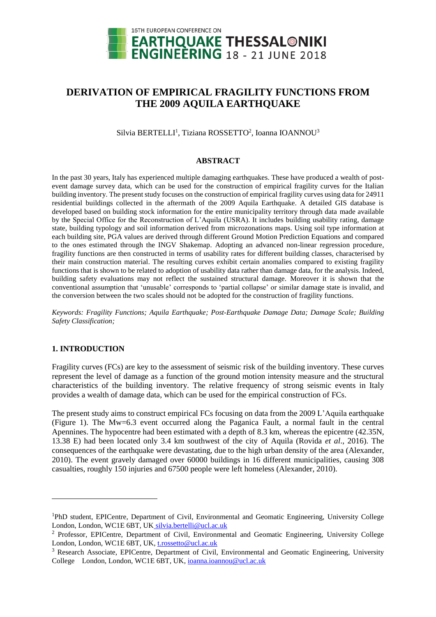

# **DERIVATION OF EMPIRICAL FRAGILITY FUNCTIONS FROM THE 2009 AQUILA EARTHQUAKE**

Silvia BERTELLI<sup>1</sup>, Tiziana ROSSETTO<sup>2</sup>, Ioanna IOANNOU<sup>3</sup>

### **ABSTRACT**

In the past 30 years, Italy has experienced multiple damaging earthquakes. These have produced a wealth of postevent damage survey data, which can be used for the construction of empirical fragility curves for the Italian building inventory. The present study focuses on the construction of empirical fragility curves using data for 24911 residential buildings collected in the aftermath of the 2009 Aquila Earthquake. A detailed GIS database is developed based on building stock information for the entire municipality territory through data made available by the Special Office for the Reconstruction of L'Aquila (USRA). It includes building usability rating, damage state, building typology and soil information derived from microzonations maps. Using soil type information at each building site, PGA values are derived through different Ground Motion Prediction Equations and compared to the ones estimated through the INGV Shakemap. Adopting an advanced non-linear regression procedure, fragility functions are then constructed in terms of usability rates for different building classes, characterised by their main construction material. The resulting curves exhibit certain anomalies compared to existing fragility functions that is shown to be related to adoption of usability data rather than damage data, for the analysis. Indeed, building safety evaluations may not reflect the sustained structural damage. Moreover it is shown that the conventional assumption that 'unusable' corresponds to 'partial collapse' or similar damage state is invalid, and the conversion between the two scales should not be adopted for the construction of fragility functions.

*Keywords: Fragility Functions; Aquila Earthquake; Post-Earthquake Damage Data; Damage Scale; Building Safety Classification;*

# **1. INTRODUCTION**

l

Fragility curves (FCs) are key to the assessment of seismic risk of the building inventory. These curves represent the level of damage as a function of the ground motion intensity measure and the structural characteristics of the building inventory. The relative frequency of strong seismic events in Italy provides a wealth of damage data, which can be used for the empirical construction of FCs.

The present study aims to construct empirical FCs focusing on data from the 2009 L'Aquila earthquake (Figure 1). The Mw=6.3 event occurred along the Paganica Fault, a normal fault in the central Apennines. The hypocentre had been estimated with a depth of 8.3 km, whereas the epicentre (42.35N, 13.38 E) had been located only 3.4 km southwest of the city of Aquila (Rovida *et al*., 2016). The consequences of the earthquake were devastating, due to the high urban density of the area (Alexander, 2010). The event gravely damaged over 60000 buildings in 16 different municipalities, causing 308 casualties, roughly 150 injuries and 67500 people were left homeless (Alexander, 2010).

<sup>&</sup>lt;sup>1</sup>PhD student, EPICentre, Department of Civil, Environmental and Geomatic Engineering, University College London, London, WC1E 6BT, UK silvia.bertelli@ucl.ac.uk

<sup>2</sup> Professor, EPICentre, Department of Civil, Environmental and Geomatic Engineering, University College London, London, WC1E 6BT, UK, t.rossetto@ucl.ac.uk

<sup>3</sup> Research Associate, EPICentre, Department of Civil, Environmental and Geomatic Engineering, University College London, London, WC1E 6BT, UK, [ioanna.ioannou@ucl.ac.uk](mailto:ioanna.ioannou@ucl.ac.uk)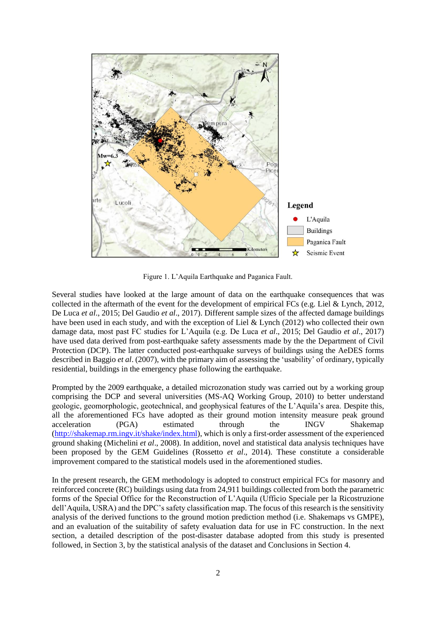

Figure 1. L'Aquila Earthquake and Paganica Fault.

Several studies have looked at the large amount of data on the earthquake consequences that was collected in the aftermath of the event for the development of empirical FCs (e.g. Liel & Lynch, 2012, De Luca *et al*., 2015; Del Gaudio *et al*., 2017). Different sample sizes of the affected damage buildings have been used in each study, and with the exception of Liel & Lynch (2012) who collected their own damage data, most past FC studies for L'Aquila (e.g. De Luca *et al*., 2015; Del Gaudio *et al*., 2017) have used data derived from post-earthquake safety assessments made by the the Department of Civil Protection (DCP). The latter conducted post-earthquake surveys of buildings using the AeDES forms described in Baggio *et al*. (2007), with the primary aim of assessing the 'usability' of ordinary, typically residential, buildings in the emergency phase following the earthquake.

Prompted by the 2009 earthquake, a detailed microzonation study was carried out by a working group comprising the DCP and several universities (MS-AQ Working Group, 2010) to better understand geologic, geomorphologic, geotechnical, and geophysical features of the L'Aquila's area. Despite this, all the aforementioned FCs have adopted as their ground motion intensity measure peak ground acceleration (PGA) estimated through the INGV Shakemap [\(http://shakemap.rm.ingv.it/shake/index.html\)](http://shakemap.rm.ingv.it/shake/index.html), which is only a first-order assessment of the experienced ground shaking (Michelini *et al*., 2008). In addition, novel and statistical data analysis techniques have been proposed by the GEM Guidelines (Rossetto *et al*., 2014). These constitute a considerable improvement compared to the statistical models used in the aforementioned studies.

In the present research, the GEM methodology is adopted to construct empirical FCs for masonry and reinforced concrete (RC) buildings using data from 24,911 buildings collected from both the parametric forms of the Special Office for the Reconstruction of L'Aquila (Ufficio Speciale per la Ricostruzione dell'Aquila, USRA) and the DPC's safety classification map. The focus of this research is the sensitivity analysis of the derived functions to the ground motion prediction method (i.e. Shakemaps vs GMPE), and an evaluation of the suitability of safety evaluation data for use in FC construction. In the next section, a detailed description of the post-disaster database adopted from this study is presented followed, in Section 3, by the statistical analysis of the dataset and Conclusions in Section 4.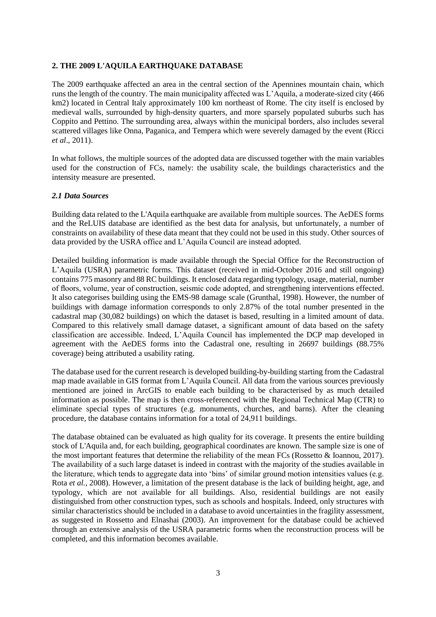# **2. THE 2009 L'AQUILA EARTHQUAKE DATABASE**

The 2009 earthquake affected an area in the central section of the Apennines mountain chain, which runs the length of the country. The main municipality affected was L'Aquila, a moderate-sized city (466 km2) located in Central Italy approximately 100 km northeast of Rome. The city itself is enclosed by medieval walls, surrounded by high-density quarters, and more sparsely populated suburbs such has Coppito and Pettino. The surrounding area, always within the municipal borders, also includes several scattered villages like Onna, Paganica, and Tempera which were severely damaged by the event (Ricci *et al*., 2011).

In what follows, the multiple sources of the adopted data are discussed together with the main variables used for the construction of FCs, namely: the usability scale, the buildings characteristics and the intensity measure are presented.

# *2.1 Data Sources*

Building data related to the L'Aquila earthquake are available from multiple sources. The AeDES forms and the ReLUIS database are identified as the best data for analysis, but unfortunately, a number of constraints on availability of these data meant that they could not be used in this study. Other sources of data provided by the USRA office and L'Aquila Council are instead adopted.

Detailed building information is made available through the Special Office for the Reconstruction of L'Aquila (USRA) parametric forms. This dataset (received in mid-October 2016 and still ongoing) contains 775 masonry and 88 RC buildings. It enclosed data regarding typology, usage, material, number of floors, volume, year of construction, seismic code adopted, and strengthening interventions effected. It also categorises building using the EMS-98 damage scale (Grunthal, 1998). However, the number of buildings with damage information corresponds to only 2.87% of the total number presented in the cadastral map (30,082 buildings) on which the dataset is based, resulting in a limited amount of data. Compared to this relatively small damage dataset, a significant amount of data based on the safety classification are accessible. Indeed, L'Aquila Council has implemented the DCP map developed in agreement with the AeDES forms into the Cadastral one, resulting in 26697 buildings (88.75% coverage) being attributed a usability rating.

The database used for the current research is developed building-by-building starting from the Cadastral map made available in GIS format from L'Aquila Council. All data from the various sources previously mentioned are joined in ArcGIS to enable each building to be characterised by as much detailed information as possible. The map is then cross-referenced with the Regional Technical Map (CTR) to eliminate special types of structures (e.g. monuments, churches, and barns). After the cleaning procedure, the database contains information for a total of 24,911 buildings.

The database obtained can be evaluated as high quality for its coverage. It presents the entire building stock of L'Aquila and, for each building, geographical coordinates are known. The sample size is one of the most important features that determine the reliability of the mean FCs (Rossetto & Ioannou, 2017). The availability of a such large dataset is indeed in contrast with the majority of the studies available in the literature, which tends to aggregate data into 'bins' of similar ground motion intensities values (e.g. Rota *et al.*, 2008). However, a limitation of the present database is the lack of building height, age, and typology, which are not available for all buildings. Also, residential buildings are not easily distinguished from other construction types, such as schools and hospitals. Indeed, only structures with similar characteristics should be included in a database to avoid uncertainties in the fragility assessment, as suggested in Rossetto and Elnashai (2003). An improvement for the database could be achieved through an extensive analysis of the USRA parametric forms when the reconstruction process will be completed, and this information becomes available.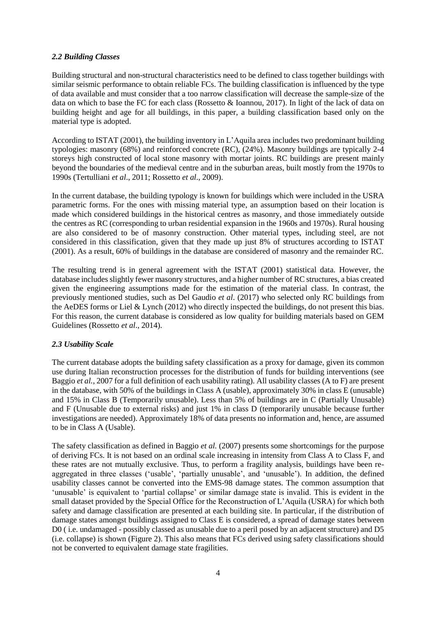# *2.2 Building Classes*

Building structural and non-structural characteristics need to be defined to class together buildings with similar seismic performance to obtain reliable FCs. The building classification is influenced by the type of data available and must consider that a too narrow classification will decrease the sample-size of the data on which to base the FC for each class (Rossetto & Ioannou, 2017). In light of the lack of data on building height and age for all buildings, in this paper, a building classification based only on the material type is adopted.

According to ISTAT (2001), the building inventory in L'Aquila area includes two predominant building typologies: masonry (68%) and reinforced concrete (RC), (24%). Masonry buildings are typically 2-4 storeys high constructed of local stone masonry with mortar joints. RC buildings are present mainly beyond the boundaries of the medieval centre and in the suburban areas, built mostly from the 1970s to 1990s (Tertulliani *et al*., 2011; Rossetto *et al*., 2009).

In the current database, the building typology is known for buildings which were included in the USRA parametric forms. For the ones with missing material type, an assumption based on their location is made which considered buildings in the historical centres as masonry, and those immediately outside the centres as RC (corresponding to urban residential expansion in the 1960s and 1970s). Rural housing are also considered to be of masonry construction. Other material types, including steel, are not considered in this classification, given that they made up just 8% of structures according to ISTAT (2001). As a result, 60% of buildings in the database are considered of masonry and the remainder RC.

The resulting trend is in general agreement with the ISTAT (2001) statistical data. However, the database includes slightly fewer masonry structures, and a higher number of RC structures, a bias created given the engineering assumptions made for the estimation of the material class. In contrast, the previously mentioned studies, such as Del Gaudio *et al*. (2017) who selected only RC buildings from the AeDES forms or Liel & Lynch (2012) who directly inspected the buildings, do not present this bias. For this reason, the current database is considered as low quality for building materials based on GEM Guidelines (Rossetto *et al*., 2014).

# *2.3 Usability Scale*

The current database adopts the building safety classification as a proxy for damage, given its common use during Italian reconstruction processes for the distribution of funds for building interventions (see Baggio *et al.*, 2007 for a full definition of each usability rating). All usability classes (A to F) are present in the database, with 50% of the buildings in Class A (usable), approximately 30% in class E (unusable) and 15% in Class B (Temporarily unusable). Less than 5% of buildings are in C (Partially Unusable) and F (Unusable due to external risks) and just 1% in class D (temporarily unusable because further investigations are needed). Approximately 18% of data presents no information and, hence, are assumed to be in Class A (Usable).

The safety classification as defined in Baggio *et al.* (2007) presents some shortcomings for the purpose of deriving FCs. It is not based on an ordinal scale increasing in intensity from Class A to Class F, and these rates are not mutually exclusive. Thus, to perform a fragility analysis, buildings have been reaggregated in three classes ('usable', 'partially unusable', and 'unusable'). In addition, the defined usability classes cannot be converted into the EMS-98 damage states. The common assumption that 'unusable' is equivalent to 'partial collapse' or similar damage state is invalid. This is evident in the small dataset provided by the Special Office for the Reconstruction of L'Aquila (USRA) for which both safety and damage classification are presented at each building site. In particular, if the distribution of damage states amongst buildings assigned to Class E is considered, a spread of damage states between D0 ( i.e. undamaged - possibly classed as unusable due to a peril posed by an adjacent structure) and D5 (i.e. collapse) is shown (Figure 2). This also means that FCs derived using safety classifications should not be converted to equivalent damage state fragilities.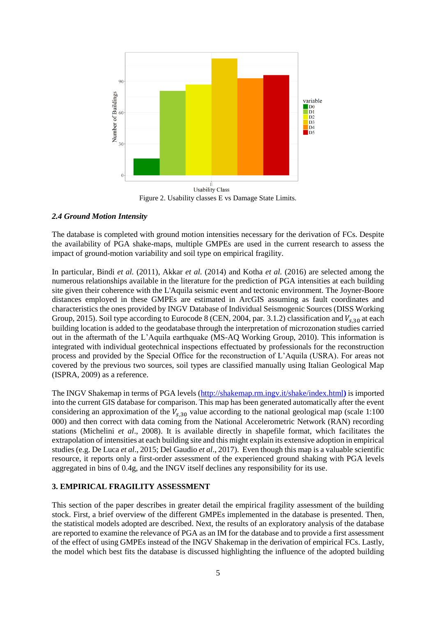

Figure 2. Usability classes E vs Damage State Limits.

# *2.4 Ground Motion Intensity*

The database is completed with ground motion intensities necessary for the derivation of FCs. Despite the availability of PGA shake-maps, multiple GMPEs are used in the current research to assess the impact of ground-motion variability and soil type on empirical fragility.

In particular, Bindi *et al.* (2011), Akkar *et al.* (2014) and Kotha *et al.* (2016) are selected among the numerous relationships available in the literature for the prediction of PGA intensities at each building site given their coherence with the L'Aquila seismic event and tectonic environment. The Joyner-Boore distances employed in these GMPEs are estimated in ArcGIS assuming as fault coordinates and characteristics the ones provided by INGV Database of Individual Seismogenic Sources (DISS Working Group, 2015). Soil type according to Eurocode 8 (CEN, 2004, par. 3.1.2) classification and  $V_{s,30}$  at each building location is added to the geodatabase through the interpretation of microzonation studies carried out in the aftermath of the L'Aquila earthquake (MS-AQ Working Group, 2010). This information is integrated with individual geotechnical inspections [effectuated](http://www.thesaurus.com/browse/effectuated) by professionals for the reconstruction process and provided by the Special Office for the reconstruction of L'Aquila (USRA). For areas not covered by the previous two sources, soil types are classified manually using Italian Geological Map (ISPRA, 2009) as a reference.

The INGV Shakemap in terms of PGA levels [\(http://shakemap.rm.ingv.it/shake/index.html](http://shakemap.rm.ingv.it/shake/index.html)**)** is imported into the current GIS database for comparison. This map has been generated automatically after the event considering an approximation of the  $V_{s,30}$  value according to the national geological map (scale 1:100 000) and then correct with data coming from the National Accelerometric Network (RAN) recording stations (Michelini *et al*., 2008). It is available directly in shapefile format, which facilitates the extrapolation of intensities at each building site and this might explain its extensive adoption in empirical studies (e.g. De Luca *et al*., 2015; Del Gaudio *et al*., 2017). Even though this map is a valuable scientific resource, it reports only a first-order assessment of the experienced ground shaking with PGA levels aggregated in bins of 0.4g, and the INGV itself declines any responsibility for its use.

# **3. EMPIRICAL FRAGILITY ASSESSMENT**

This section of the paper describes in greater detail the empirical fragility assessment of the building stock. First, a brief overview of the different GMPEs implemented in the database is presented. Then, the statistical models adopted are described. Next, the results of an exploratory analysis of the database are reported to examine the relevance of PGA as an IM for the database and to provide a first assessment of the effect of using GMPEs instead of the INGV Shakemap in the derivation of empirical FCs. Lastly, the model which best fits the database is discussed highlighting the influence of the adopted building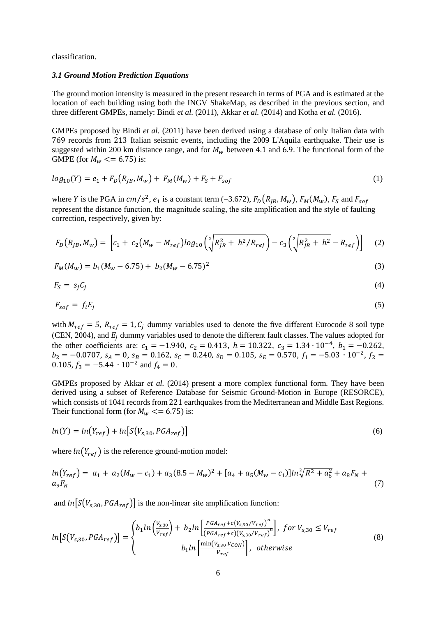classification.

#### *3.1 Ground Motion Prediction Equations*

The ground motion intensity is measured in the present research in terms of PGA and is estimated at the location of each building using both the INGV ShakeMap, as described in the previous section, and three different GMPEs, namely: Bindi *et al.* (2011), Akkar *et al.* (2014) and Kotha *et al.* (2016).

GMPEs proposed by Bindi *et al.* (2011) have been derived using a database of only Italian data with 769 records from 213 Italian seismic events, including the 2009 L'Aquila earthquake. Their use is suggested within 200 km distance range, and for  $M_w$  between 4.1 and 6.9. The functional form of the GMPE (for  $M_w \leq 6.75$ ) is:

$$
log_{10}(Y) = e_1 + F_D(R_{JB}, M_w) + F_M(M_w) + F_S + F_{soft}
$$
\n(1)

where *Y* is the PGA in  $cm/s^2$ ,  $e_1$  is a constant term (=3.672),  $F_D(R_{JB}, M_w)$ ,  $F_M(M_w)$ ,  $F_S$  and  $F_{soft}$ represent the distance function, the magnitude scaling, the site amplification and the style of faulting correction, respectively, given by:

$$
F_D(R_{JB}, M_w) = \left[c_1 + c_2(M_w - M_{ref})log_{10}\left(\sqrt[2]{R_{JB}^2 + h^2/R_{ref}}\right) - c_3\left(\sqrt[2]{R_{JB}^2 + h^2} - R_{ref}\right)\right]
$$
(2)

$$
F_M(M_w) = b_1(M_w - 6.75) + b_2(M_w - 6.75)^2
$$
\n(3)

$$
F_S = s_j C_j \tag{4}
$$

$$
F_{\text{soft}} = f_i E_j \tag{5}
$$

with  $M_{ref} = 5$ ,  $R_{ref} = 1$ ,  $C_i$  dummy variables used to denote the five different Eurocode 8 soil type (CEN, 2004), and  $E_i$  dummy variables used to denote the different fault classes. The values adopted for the other coefficients are:  $c_1 = -1.940$ ,  $c_2 = 0.413$ ,  $h = 10.322$ ,  $c_3 = 1.34 \cdot 10^{-4}$ ,  $b_1 = -0.262$ ,  $b_2 = -0.0707$ ,  $s_A = 0$ ,  $s_B = 0.162$ ,  $s_C = 0.240$ ,  $s_D = 0.105$ ,  $s_E = 0.570$ ,  $f_1 = -5.03 \cdot 10^{-2}$ ,  $f_2 =$ 0.105,  $f_3 = -5.44 \cdot 10^{-2}$  and  $f_4 = 0$ .

GMPEs proposed by Akkar *et al.* (2014) present a more complex functional form. They have been derived using a subset of Reference Database for Seismic Ground-Motion in Europe (RESORCE), which consists of 1041 records from 221 earthquakes from the Mediterranean and Middle East Regions. Their functional form (for  $M_w \le 6.75$ ) is:

$$
ln(Y) = ln(Y_{ref}) + ln[S(V_{s,30}, PGA_{ref})]
$$
\n
$$
(6)
$$

where  $ln(Y_{ref})$  is the reference ground-motion model:

$$
ln(Y_{ref}) = a_1 + a_2(M_w - c_1) + a_3(8.5 - M_w)^2 + [a_4 + a_5(M_w - c_1)]ln\sqrt[2]{R^2 + a_6^2} + a_8F_N + a_9F_R
$$
\n<sup>(7)</sup>

and  $ln[S(V_{s,30},PGA_{ref})]$  is the non-linear site amplification function:

$$
ln[S(V_{s,30}, PGA_{ref})] = \begin{cases} b_1 ln\left(\frac{V_{s,30}}{V_{ref}}\right) + b_2 ln\left[\frac{PGA_{ref} + c(V_{s,30}/V_{ref})^n}{(PGA_{ref} + c)(V_{s,30}/V_{ref})^n}\right], & \text{for } V_{s,30} \le V_{ref} \\ b_1 ln\left[\frac{\min(V_{s,30}, V_{con})}{V_{ref}}\right], & \text{otherwise} \end{cases}
$$
(8)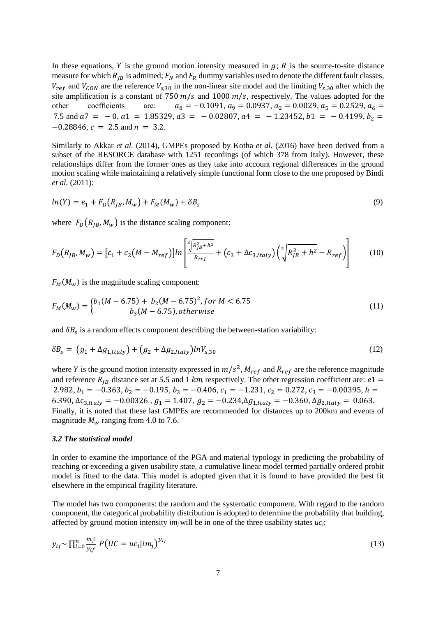In these equations, Y is the ground motion intensity measured in  $g$ ; R is the source-to-site distance measure for which  $R_{IB}$  is admitted;  $F_N$  and  $F_R$  dummy variables used to denote the different fault classes,  $V_{ref}$  and  $V_{CON}$  are the reference  $V_{s,30}$  in the non-linear site model and the limiting  $V_{s,30}$  after which the site amplification is a constant of 750  $m/s$  and 1000  $m/s$ , respectively. The values adopted for the other coefficients are:  $a_8 = -0.1091, a_9 = 0.0937, a_2 = 0.0029, a_5 = 0.2529, a_6 = 0.0029$ 7.5 and  $a7 = -0$ ,  $a1 = 1.85329$ ,  $a3 = -0.02807$ ,  $a4 = -1.23452$ ,  $b1 = -0.4199$ ,  $b_2 =$  $-0.28846$ ,  $c = 2.5$  and  $n = 3.2$ .

Similarly to Akkar *et al.* (2014), GMPEs proposed by Kotha *et al.* (2016) have been derived from a subset of the RESORCE database with 1251 recordings (of which 378 from Italy). However, these relationships differ from the former ones as they take into account regional differences in the ground motion scaling while maintaining a relatively simple functional form close to the one proposed by Bindi *et al.* (2011):

$$
ln(Y) = e_1 + F_D(R_{JB}, M_w) + F_M(M_w) + \delta B_s
$$
\n(9)

where  $F_D(R_{IB}, M_w)$  is the distance scaling component:

$$
F_D(R_{JB}, M_w) = [c_1 + c_2(M - M_{ref})]ln\left[\frac{{}^2 \left(R_{JB}^2 + h^2\right)}{R_{ref}} + (c_3 + \Delta c_{3, Italy})\left(\frac{{}^2 \left(R_{JB}^2 + h^2 - R_{ref}\right)}{R_{LB} + h^2}\right)\right]
$$
(10)

 $F_M(M_w)$  is the magnitude scaling component:

$$
F_M(M_w) = \begin{cases} b_1(M - 6.75) + b_2(M - 6.75)^2, \text{for } M < 6.75\\ b_3(M - 6.75), \text{otherwise} \end{cases} \tag{11}
$$

and  $\delta B_s$  is a random effects component describing the between-station variability:

$$
\delta B_s = (g_1 + \Delta g_{1, Italy}) + (g_2 + \Delta g_{2, Italy}) ln V_{s,30}
$$
\n
$$
(12)
$$

where Y is the ground motion intensity expressed in  $m/s^2$ ,  $M_{ref}$  and  $R_{ref}$  are the reference magnitude and reference  $R_{IB}$  distance set at 5.5 and 1 km respectively. The other regression coefficient are:  $e1 =$ 2.982,  $b_1 = -0.363$ ,  $b_2 = -0.195$ ,  $b_3 = -0.406$ ,  $c_1 = -1.231$ ,  $c_2 = 0.272$ ,  $c_3 = -0.00395$ ,  $h =$ 6.390,  $\Delta c_{3, Italy} = -0.00326$ ,  $g_1 = 1.407$ ,  $g_2 = -0.234$ ,  $\Delta g_{1, Italy} = -0.360$ ,  $\Delta g_{2, Italy} = 0.063$ . Finally, it is noted that these last GMPEs are recommended for distances up to 200km and events of magnitude  $M_w$  ranging from 4.0 to 7.6.

#### *3.2 The statistical model*

In order to examine the importance of the PGA and material typology in predicting the probability of reaching or exceeding a given usability state, a cumulative linear model termed partially ordered probit model is fitted to the data. This model is adopted given that it is found to have provided the best fit elsewhere in the empirical fragility literature.

The model has two components: the random and the systematic component. With regard to the random component, the categorical probability distribution is adopted to determine the probability that building, affected by ground motion intensity *im<sup>j</sup>* will be in one of the three usability states *uci*:

$$
y_{ij} \sim \prod_{i=0}^{n} \frac{m_j!}{y_{ij}!} P(UC = uc_i | im_j)^{y_{ij}}
$$
\n
$$
(13)
$$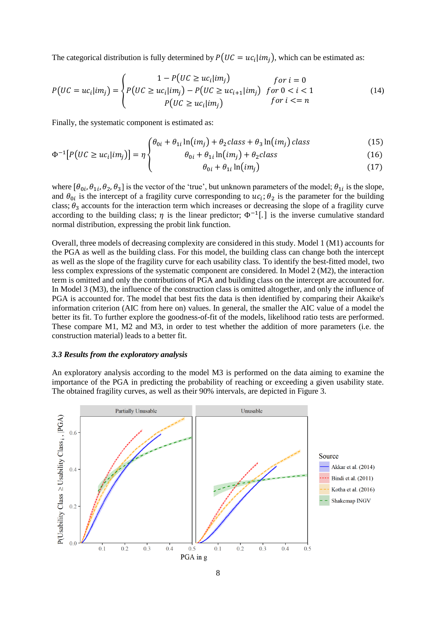The categorical distribution is fully determined by  $P(UC = uc<sub>i</sub>|im<sub>j</sub>)$ , which can be estimated as:

$$
P\big(UC = uc_i | im_j\big) = \begin{cases} 1 - P\big(UC \ge uc_i | im_j\big) & \text{for } i = 0\\ P\big(UC \ge uc_i | im_j\big) - P\big(UC \ge uc_{i+1} | im_j\big) & \text{for } 0 < i < 1\\ P\big(UC \ge uc_i | im_j\big) & \text{for } i < n \end{cases} \tag{14}
$$

Finally, the systematic component is estimated as:

$$
\left(\theta_{0i} + \theta_{1i}\ln(im_j) + \theta_2 class + \theta_3\ln(im_j) class\right)
$$
\n(15)

$$
\Phi^{-1}[P(UC \ge uc_i | im_j)] = \eta \n\begin{cases}\n\theta_{0i} + \theta_{1i} \ln(im_j) + \theta_2 class \\
\theta_{0i} + \theta_{1i} \ln(im_i)\n\end{cases}\n\tag{16}
$$

$$
\theta_{0i} + \theta_{1i} \ln(im_j) \tag{17}
$$

where  $[\theta_{0i}, \theta_{1i}, \theta_2, \theta_3]$  is the vector of the 'true', but unknown parameters of the model;  $\theta_{1i}$  is the slope, and  $\theta_{0i}$  is the intercept of a fragility curve corresponding to  $uc_i$ ;  $\theta_2$  is the parameter for the building class;  $\theta_3$  accounts for the interaction term which increases or decreasing the slope of a fragility curve according to the building class;  $\eta$  is the linear predictor;  $\Phi^{-1}$ [.] is the inverse cumulative standard normal distribution, expressing the probit link function.

Overall, three models of decreasing complexity are considered in this study. Model 1 (M1) accounts for the PGA as well as the building class. For this model, the building class can change both the intercept as well as the slope of the fragility curve for each usability class. To identify the best-fitted model, two less complex expressions of the systematic component are considered. In Model 2 (M2), the interaction term is omitted and only the contributions of PGA and building class on the intercept are accounted for. In Model 3 (M3), the influence of the construction class is omitted altogether, and only the influence of PGA is accounted for. The model that best fits the data is then identified by comparing their Akaike's information criterion (AIC from here on) values. In general, the smaller the AIC value of a model the better its fit. To further explore the goodness-of-fit of the models, likelihood ratio tests are performed. These compare M1, M2 and M3, in order to test whether the addition of more parameters (i.e. the construction material) leads to a better fit.

#### *3.3 Results from the exploratory analysis*

An exploratory analysis according to the model M3 is performed on the data aiming to examine the importance of the PGA in predicting the probability of reaching or exceeding a given usability state. The obtained fragility curves, as well as their 90% intervals, are depicted in Figure 3.

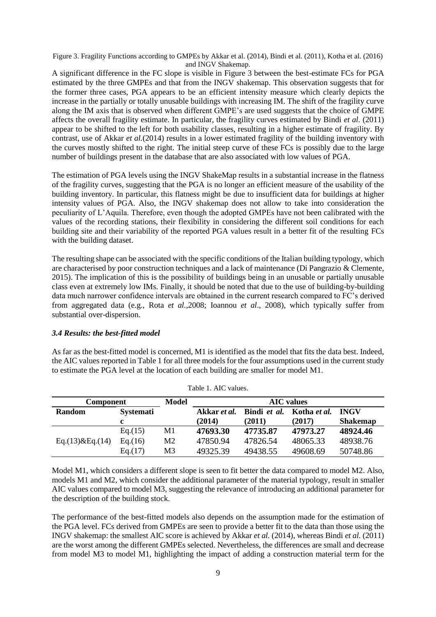Figure 3. Fragility Functions according to GMPEs by Akkar et al. (2014), Bindi et al. (2011), Kotha et al. (2016) and INGV Shakemap.

A significant difference in the FC slope is visible in Figure 3 between the best-estimate FCs for PGA estimated by the three GMPEs and that from the INGV shakemap. This observation suggests that for the former three cases, PGA appears to be an efficient intensity measure which clearly depicts the increase in the partially or totally unusable buildings with increasing IM. The shift of the fragility curve along the IM axis that is observed when different GMPE's are used suggests that the choice of GMPE affects the overall fragility estimate. In particular, the fragility curves estimated by Bindi *et al.* (2011) appear to be shifted to the left for both usability classes, resulting in a higher estimate of fragility. By contrast, use of Akkar *et al.*(2014) results in a lower estimated fragility of the building inventory with the curves mostly shifted to the right. The initial steep curve of these FCs is possibly due to the large number of buildings present in the database that are also associated with low values of PGA.

The estimation of PGA levels using the INGV ShakeMap results in a substantial increase in the flatness of the fragility curves, suggesting that the PGA is no longer an efficient measure of the usability of the building inventory. In particular, this flatness might be due to insufficient data for buildings at higher intensity values of PGA. Also, the INGV shakemap does not allow to take into consideration the peculiarity of L'Aquila. Therefore, even though the adopted GMPEs have not been calibrated with the values of the recording stations, their flexibility in considering the different soil conditions for each building site and their variability of the reported PGA values result in a better fit of the resulting FCs with the building dataset.

The resulting shape can be associated with the specific conditions of the Italian building typology, which are characterised by poor construction techniques and a lack of maintenance (Di Pangrazio & Clemente, 2015). The implication of this is the possibility of buildings being in an unusable or partially unusable class even at extremely low IMs. Finally, it should be noted that due to the use of building-by-building data much narrower confidence intervals are obtained in the current research compared to FC's derived from aggregated data (e.g., Rota *et al.*,2008; Ioannou *et al*., 2008), which typically suffer from substantial over-dispersion.

# *3.4 Results: the best-fitted model*

As far as the best-fitted model is concerned, M1 is identified as the model that fits the data best. Indeed, the AIC values reported in Table 1 for all three models for the four assumptions used in the current study to estimate the PGA level at the location of each building are smaller for model M1.

| <b>Component</b>  |                  | <b>Model</b>   | <b>AIC</b> values |              |              |                 |  |
|-------------------|------------------|----------------|-------------------|--------------|--------------|-----------------|--|
| <b>Random</b>     | <b>Systemati</b> |                | Akkar et al.      | Bindi et al. | Kotha et al. | <b>INGV</b>     |  |
|                   | c.               |                | (2014)            | (2011)       | (2017)       | <b>Shakemap</b> |  |
| Eq.(13) & Eq.(14) | Eq.(15)          | M <sub>1</sub> | 47693.30          | 47735.87     | 47973.27     | 48924.46        |  |
|                   | Eq.(16)          | M <sub>2</sub> | 47850.94          | 47826.54     | 48065.33     | 48938.76        |  |
|                   | Eq.(17)          | M <sub>3</sub> | 49325.39          | 49438.55     | 49608.69     | 50748.86        |  |

Table 1. AIC values.

Model M1, which considers a different slope is seen to fit better the data compared to model M2. Also, models M1 and M2, which consider the additional parameter of the material typology, result in smaller AIC values compared to model M3, suggesting the relevance of introducing an additional parameter for the description of the building stock.

The performance of the best-fitted models also depends on the assumption made for the estimation of the PGA level. FCs derived from GMPEs are seen to provide a better fit to the data than those using the INGV shakemap: the smallest AIC score is achieved by Akkar *et al.* (2014), whereas Bindi *et al.* (2011) are the worst among the different GMPEs selected. Nevertheless, the differences are small and decrease from model M3 to model M1, highlighting the impact of adding a construction material term for the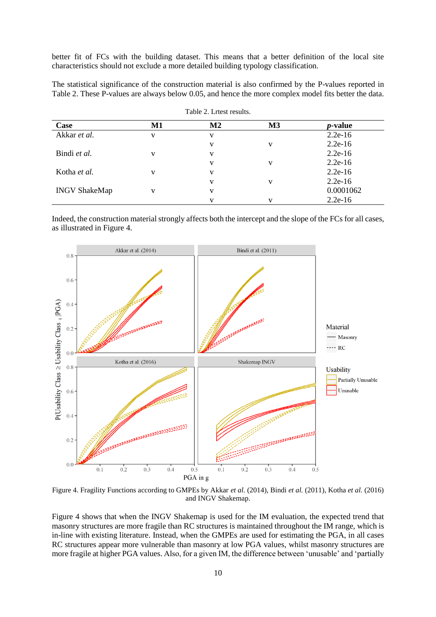better fit of FCs with the building dataset. This means that a better definition of the local site characteristics should not exclude a more detailed building typology classification.

The statistical significance of the construction material is also confirmed by the P-values reported in Table 2. These P-values are always below 0.05, and hence the more complex model fits better the data.

Table 2. Lrtest results.

| Case                 | $\mathbf{M}$ 1 | $\mathbf{M2}$ | M3 | <i>p</i> -value |
|----------------------|----------------|---------------|----|-----------------|
| Akkar et al.         | V              | v             |    | $2.2e-16$       |
|                      |                |               | v  | $2.2e-16$       |
| Bindi et al.         | v              | v             |    | $2.2e-16$       |
|                      |                |               | v  | $2.2e-16$       |
| Kotha <i>et al.</i>  | $\mathbf{V}$   | v             |    | $2.2e-16$       |
|                      |                |               | v  | $2.2e-16$       |
| <b>INGV ShakeMap</b> |                |               |    | 0.0001062       |
|                      |                |               |    | $2.2e-16$       |

Indeed, the construction material strongly affects both the intercept and the slope of the FCs for all cases, as illustrated in Figure 4.



Figure 4. Fragility Functions according to GMPEs by Akkar *et al.* (2014), Bindi *et al.* (2011), Kotha *et al.* (2016) and INGV Shakemap.

Figure 4 shows that when the INGV Shakemap is used for the IM evaluation, the expected trend that masonry structures are more fragile than RC structures is maintained throughout the IM range, which is in-line with existing literature. Instead, when the GMPEs are used for estimating the PGA, in all cases RC structures appear more vulnerable than masonry at low PGA values, whilst masonry structures are more fragile at higher PGA values. Also, for a given IM, the difference between 'unusable' and 'partially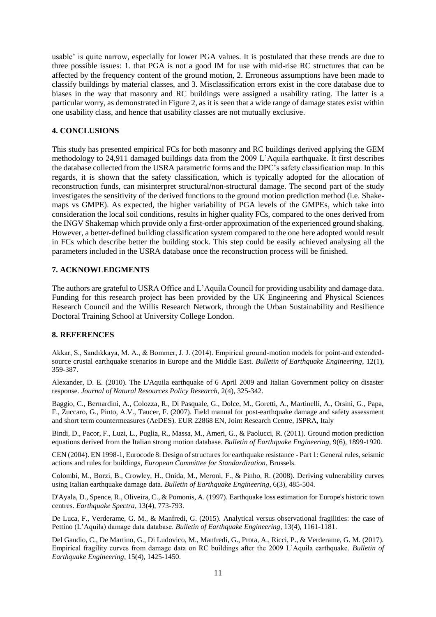usable' is quite narrow, especially for lower PGA values. It is postulated that these trends are due to three possible issues: 1. that PGA is not a good IM for use with mid-rise RC structures that can be affected by the frequency content of the ground motion, 2. Erroneous assumptions have been made to classify buildings by material classes, and 3. Misclassification errors exist in the core database due to biases in the way that masonry and RC buildings were assigned a usability rating. The latter is a particular worry, as demonstrated in Figure 2, as it is seen that a wide range of damage states exist within one usability class, and hence that usability classes are not mutually exclusive.

### **4. CONCLUSIONS**

This study has presented empirical FCs for both masonry and RC buildings derived applying the GEM methodology to 24,911 damaged buildings data from the 2009 L'Aquila earthquake. It first describes the database collected from the USRA parametric forms and the DPC's safety classification map. In this regards, it is shown that the safety classification, which is typically adopted for the allocation of reconstruction funds, can misinterpret structural/non-structural damage. The second part of the study investigates the sensitivity of the derived functions to the ground motion prediction method (i.e. Shakemaps vs GMPE). As expected, the higher variability of PGA levels of the GMPEs, which take into consideration the local soil conditions, results in higher quality FCs, compared to the ones derived from the INGV Shakemap which provide only a first-order approximation of the experienced ground shaking. However, a better-defined building classification system compared to the one here adopted would result in FCs which describe better the building stock. This step could be easily achieved analysing all the parameters included in the USRA database once the reconstruction process will be finished.

### **7. ACKNOWLEDGMENTS**

The authors are grateful to USRA Office and L'Aquila Council for providing usability and damage data. Funding for this research project has been provided by the UK Engineering and Physical Sciences Research Council and the Willis Research Network, through the Urban Sustainability and Resilience Doctoral Training School at University College London.

# **8. REFERENCES**

Akkar, S., Sandıkkaya, M. A., & Bommer, J. J. (2014). Empirical ground-motion models for point-and extendedsource crustal earthquake scenarios in Europe and the Middle East*. Bulletin of Earthquake Engineering*, 12(1), 359-387.

Alexander, D. E. (2010). The L'Aquila earthquake of 6 April 2009 and Italian Government policy on disaster response. *Journal of Natural Resources Policy Research*, 2(4), 325-342.

Baggio, C., Bernardini, A., Colozza, R., Di Pasquale, G., Dolce, M., Goretti, A., Martinelli, A., Orsini, G., Papa, F., Zuccaro, G., Pinto, A.V., Taucer, F. (2007). Field manual for post-earthquake damage and safety assessment and short term countermeasures (AeDES). EUR 22868 EN, Joint Research Centre, ISPRA, Italy

Bindi, D., Pacor, F., Luzi, L., Puglia, R., Massa, M., Ameri, G., & Paolucci, R. (2011). Ground motion prediction equations derived from the Italian strong motion database. *Bulletin of Earthquake Engineering*, 9(6), 1899-1920.

CEN (2004). EN 1998-1, Eurocode 8: Design of structures for earthquake resistance - Part 1: General rules, seismic actions and rules for buildings, *European Committee for Standardization*, Brussels.

Colombi, M., Borzi, B., Crowley, H., Onida, M., Meroni, F., & Pinho, R. (2008). Deriving vulnerability curves using Italian earthquake damage data. *Bulletin of Earthquake Engineering*, 6(3), 485-504.

D'Ayala, D., Spence, R., Oliveira, C., & Pomonis, A. (1997). Earthquake loss estimation for Europe's historic town centres. *Earthquake Spectra*, 13(4), 773-793.

De Luca, F., Verderame, G. M., & Manfredi, G. (2015). Analytical versus observational fragilities: the case of Pettino (L'Aquila) damage data database. *Bulletin of Earthquake Engineering*, 13(4), 1161-1181.

Del Gaudio, C., De Martino, G., Di Ludovico, M., Manfredi, G., Prota, A., Ricci, P., & Verderame, G. M. (2017). Empirical fragility curves from damage data on RC buildings after the 2009 L'Aquila earthquake. *Bulletin of Earthquake Engineering*, 15(4), 1425-1450.